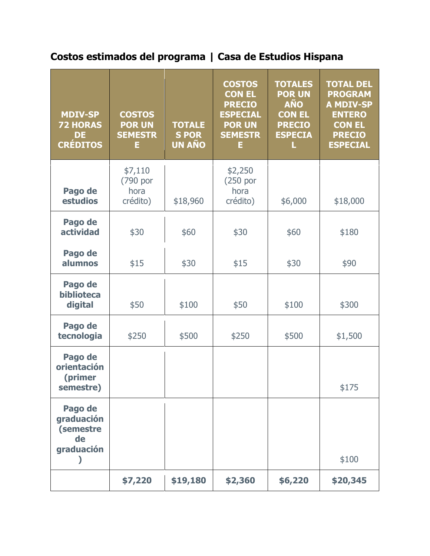## **Costos estimados del programa | Casa de Estudios Hispana**

| <b>MDIV-SP</b><br><b>72 HORAS</b><br><b>DE</b><br><b>CRÉDITOS</b> | <b>COSTOS</b><br><b>POR UN</b><br><b>SEMESTR</b><br>E | <b>TOTALE</b><br><b>SPOR</b><br><b>UN AÑO</b> | <b>COSTOS</b><br><b>CON EL</b><br><b>PRECIO</b><br><b>ESPECIAL</b><br><b>POR UN</b><br><b>SEMESTR</b><br>E | <b>TOTALES</b><br><b>POR UN</b><br><b>AÑO</b><br><b>CON EL</b><br><b>PRECIO</b><br><b>ESPECIA</b><br>L | <b>TOTAL DEL</b><br><b>PROGRAM</b><br><b>A MDIV-SP</b><br><b>ENTERO</b><br><b>CON EL</b><br><b>PRECIO</b><br><b>ESPECIAL</b> |
|-------------------------------------------------------------------|-------------------------------------------------------|-----------------------------------------------|------------------------------------------------------------------------------------------------------------|--------------------------------------------------------------------------------------------------------|------------------------------------------------------------------------------------------------------------------------------|
| Pago de<br>estudios                                               | \$7,110<br>(790 por<br>hora<br>crédito)               | \$18,960                                      | \$2,250<br>$(250)$ por<br>hora<br>crédito)                                                                 | \$6,000                                                                                                | \$18,000                                                                                                                     |
| Pago de<br>actividad                                              | \$30                                                  | \$60                                          | \$30                                                                                                       | \$60                                                                                                   | \$180                                                                                                                        |
| Pago de<br>alumnos                                                | \$15                                                  | \$30                                          | \$15                                                                                                       | \$30                                                                                                   | \$90                                                                                                                         |
| Pago de<br>biblioteca<br>digital                                  | \$50                                                  | \$100                                         | \$50                                                                                                       | \$100                                                                                                  | \$300                                                                                                                        |
| Pago de<br>tecnologia                                             | \$250                                                 | \$500                                         | \$250                                                                                                      | \$500                                                                                                  | \$1,500                                                                                                                      |
| Pago de<br>orientación<br>(primer<br>semestre)                    |                                                       |                                               |                                                                                                            |                                                                                                        | \$175                                                                                                                        |
| Pago de<br>graduación<br>(semestre<br>de<br>graduación            |                                                       |                                               |                                                                                                            |                                                                                                        | \$100                                                                                                                        |
|                                                                   | \$7,220                                               | \$19,180                                      | \$2,360                                                                                                    | \$6,220                                                                                                | \$20,345                                                                                                                     |